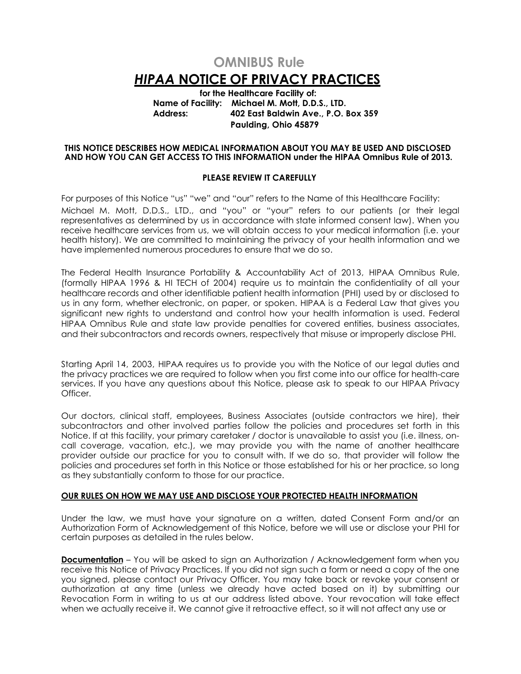# **OMNIBUS Rule** *HIPAA* **NOTICE OF PRIVACY PRACTICES**

**for the Healthcare Facility of: Name of Facility: Michael M. Mott, D.D.S., LTD. Address: 402 East Baldwin Ave., P.O. Box 359 Paulding, Ohio 45879**

#### **THIS NOTICE DESCRIBES HOW MEDICAL INFORMATION ABOUT YOU MAY BE USED AND DISCLOSED AND HOW YOU CAN GET ACCESS TO THIS INFORMATION under the HIPAA Omnibus Rule of 2013.**

# **PLEASE REVIEW IT CAREFULLY**

For purposes of this Notice "us" "we" and "our" refers to the Name of this Healthcare Facility: Michael M. Mott, D.D.S., LTD., and "you" or "your" refers to our patients (or their legal representatives as determined by us in accordance with state informed consent law). When you receive healthcare services from us, we will obtain access to your medical information (i.e. your health history). We are committed to maintaining the privacy of your health information and we have implemented numerous procedures to ensure that we do so.

The Federal Health Insurance Portability & Accountability Act of 2013, HIPAA Omnibus Rule, (formally HIPAA 1996 & HI TECH of 2004) require us to maintain the confidentiality of all your healthcare records and other identifiable patient health information (PHI) used by or disclosed to us in any form, whether electronic, on paper, or spoken. HIPAA is a Federal Law that gives you significant new rights to understand and control how your health information is used. Federal HIPAA Omnibus Rule and state law provide penalties for covered entities, business associates, and their subcontractors and records owners, respectively that misuse or improperly disclose PHI.

Starting April 14, 2003, HIPAA requires us to provide you with the Notice of our legal duties and the privacy practices we are required to follow when you first come into our office for health-care services. If you have any questions about this Notice, please ask to speak to our HIPAA Privacy Officer.

Our doctors, clinical staff, employees, Business Associates (outside contractors we hire), their subcontractors and other involved parties follow the policies and procedures set forth in this Notice. If at this facility, your primary caretaker / doctor is unavailable to assist you (i.e. illness, oncall coverage, vacation, etc.), we may provide you with the name of another healthcare provider outside our practice for you to consult with. If we do so, that provider will follow the policies and procedures set forth in this Notice or those established for his or her practice, so long as they substantially conform to those for our practice.

# **OUR RULES ON HOW WE MAY USE AND DISCLOSE YOUR PROTECTED HEALTH INFORMATION**

Under the law, we must have your signature on a written, dated Consent Form and/or an Authorization Form of Acknowledgement of this Notice, before we will use or disclose your PHI for certain purposes as detailed in the rules below.

**Documentation** – You will be asked to sign an Authorization / Acknowledgement form when you receive this Notice of Privacy Practices. If you did not sign such a form or need a copy of the one you signed, please contact our Privacy Officer. You may take back or revoke your consent or authorization at any time (unless we already have acted based on it) by submitting our Revocation Form in writing to us at our address listed above. Your revocation will take effect when we actually receive it. We cannot give it retroactive effect, so it will not affect any use or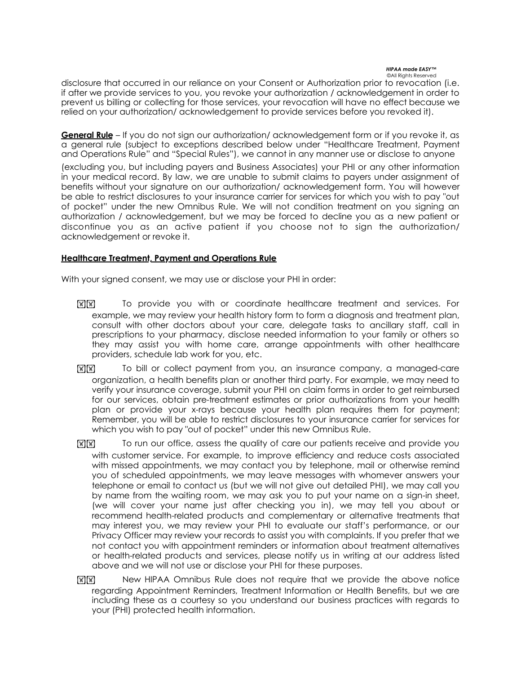disclosure that occurred in our reliance on your Consent or Authorization prior to revocation (i.e. if after we provide services to you, you revoke your authorization / acknowledgement in order to prevent us billing or collecting for those services, your revocation will have no effect because we relied on your authorization/ acknowledgement to provide services before you revoked it).

**General Rule** – If you do not sign our authorization/ acknowledgement form or if you revoke it, as a general rule (subject to exceptions described below under "Healthcare Treatment, Payment and Operations Rule" and "Special Rules"), we cannot in any manner use or disclose to anyone

(excluding you, but including payers and Business Associates) your PHI or any other information in your medical record. By law, we are unable to submit claims to payers under assignment of benefits without your signature on our authorization/ acknowledgement form. You will however be able to restrict disclosures to your insurance carrier for services for which you wish to pay "out of pocket" under the new Omnibus Rule. We will not condition treatment on you signing an authorization / acknowledgement, but we may be forced to decline you as a new patient or discontinue you as an active patient if you choose not to sign the authorization/ acknowledgement or revoke it.

# **Healthcare Treatment, Payment and Operations Rule**

With your signed consent, we may use or disclose your PHI in order:

- **[X] To provide you with or coordinate healthcare treatment and services. For** example, we may review your health history form to form a diagnosis and treatment plan, consult with other doctors about your care, delegate tasks to ancillary staff, call in prescriptions to your pharmacy, disclose needed information to your family or others so they may assist you with home care, arrange appointments with other healthcare providers, schedule lab work for you, etc.
- **MM** To bill or collect payment from you, an insurance company, a managed-care organization, a health benefits plan or another third party. For example, we may need to verify your insurance coverage, submit your PHI on claim forms in order to get reimbursed for our services, obtain pre-treatment estimates or prior authorizations from your health plan or provide your x-rays because your health plan requires them for payment; Remember, you will be able to restrict disclosures to your insurance carrier for services for which you wish to pay "out of pocket" under this new Omnibus Rule.
- **[8] To run our office, assess the quality of care our patients receive and provide you** with customer service. For example, to improve efficiency and reduce costs associated with missed appointments, we may contact you by telephone, mail or otherwise remind you of scheduled appointments, we may leave messages with whomever answers your telephone or email to contact us (but we will not give out detailed PHI), we may call you by name from the waiting room, we may ask you to put your name on a sign-in sheet, (we will cover your name just after checking you in), we may tell you about or recommend health-related products and complementary or alternative treatments that may interest you, we may review your PHI to evaluate our staff's performance, or our Privacy Officer may review your records to assist you with complaints. If you prefer that we not contact you with appointment reminders or information about treatment alternatives or health-related products and services, please notify us in writing at our address listed above and we will not use or disclose your PHI for these purposes.
- **IXIXI** New HIPAA Omnibus Rule does not require that we provide the above notice regarding Appointment Reminders, Treatment Information or Health Benefits, but we are including these as a courtesy so you understand our business practices with regards to your (PHI) protected health information.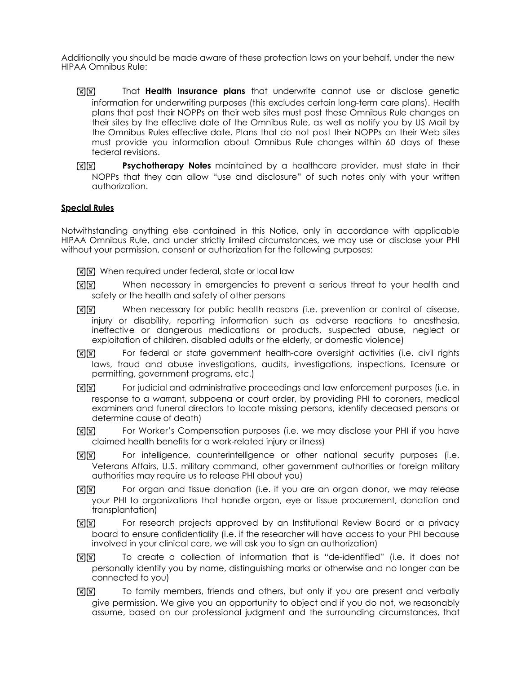Additionally you should be made aware of these protection laws on your behalf, under the new HIPAA Omnibus Rule:

- **MIXI** That **Health Insurance plans** that underwrite cannot use or disclose genetic information for underwriting purposes (this excludes certain long-term care plans). Health plans that post their NOPPs on their web sites must post these Omnibus Rule changes on their sites by the effective date of the Omnibus Rule, as well as notify you by US Mail by the Omnibus Rules effective date. Plans that do not post their NOPPs on their Web sites must provide you information about Omnibus Rule changes within 60 days of these federal revisions.
- **EXIXI Psychotherapy Notes** maintained by a healthcare provider, must state in their NOPPs that they can allow "use and disclosure" of such notes only with your written authorization.

# **Special Rules**

Notwithstanding anything else contained in this Notice, only in accordance with applicable HIPAA Omnibus Rule, and under strictly limited circumstances, we may use or disclose your PHI without your permission, consent or authorization for the following purposes:

- **MM** When required under federal, state or local law
- $\mathbb{R}$   $\mathbb{R}$  When necessary in emergencies to prevent a serious threat to your health and safety or the health and safety of other persons
- $\mathbb{R}$  $\mathbb{R}$  $\mathbb{R}$  When necessary for public health reasons (i.e. prevention or control of disease, injury or disability, reporting information such as adverse reactions to anesthesia, ineffective or dangerous medications or products, suspected abuse, neglect or exploitation of children, disabled adults or the elderly, or domestic violence)
- **MW** For federal or state government health-care oversight activities (i.e. civil rights laws, fraud and abuse investigations, audits, investigations, inspections, licensure or permitting, government programs, etc.)
- **[x] [x]** For judicial and administrative proceedings and law enforcement purposes (i.e. in response to a warrant, subpoena or court order, by providing PHI to coroners, medical examiners and funeral directors to locate missing persons, identify deceased persons or determine cause of death)
- **ME FORM** For Worker's Compensation purposes (i.e. we may disclose your PHI if you have claimed health benefits for a work-related injury or illness)
- **[K] For intelligence, counterintelligence or other national security purposes (i.e.** Veterans Affairs, U.S. military command, other government authorities or foreign military authorities may require us to release PHI about you)
- **EXIX** For organ and tissue donation (i.e. if you are an organ donor, we may release your PHI to organizations that handle organ, eye or tissue procurement, donation and transplantation)
- **MM** For research projects approved by an Institutional Review Board or a privacy board to ensure confidentiality (i.e. if the researcher will have access to your PHI because involved in your clinical care, we will ask you to sign an authorization)
- **ME** To create a collection of information that is "de-identified" (i.e. it does not personally identify you by name, distinguishing marks or otherwise and no longer can be connected to you)
- **[8] To family members, friends and others, but only if you are present and verbally** give permission. We give you an opportunity to object and if you do not, we reasonably assume, based on our professional judgment and the surrounding circumstances, that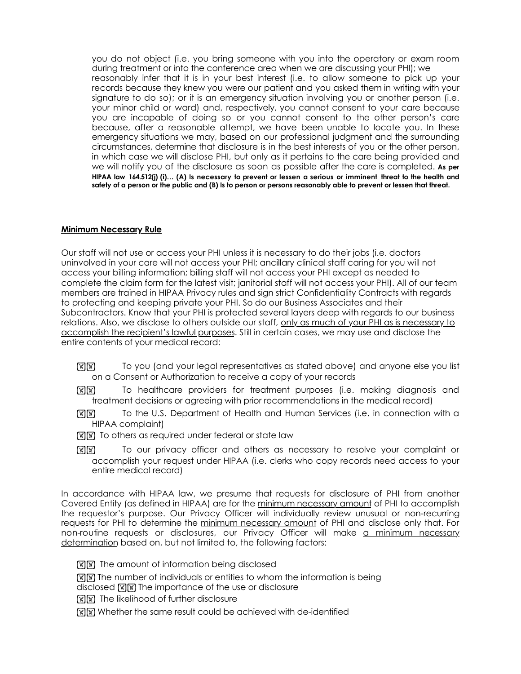you do not object (i.e. you bring someone with you into the operatory or exam room during treatment or into the conference area when we are discussing your PHI); we reasonably infer that it is in your best interest (i.e. to allow someone to pick up your records because they knew you were our patient and you asked them in writing with your signature to do so); or it is an emergency situation involving you or another person (i.e. your minor child or ward) and, respectively, you cannot consent to your care because you are incapable of doing so or you cannot consent to the other person's care because, after a reasonable attempt, we have been unable to locate you. In these emergency situations we may, based on our professional judgment and the surrounding circumstances, determine that disclosure is in the best interests of you or the other person, in which case we will disclose PHI, but only as it pertains to the care being provided and we will notify you of the disclosure as soon as possible after the care is completed. **As per HIPAA law 164.512(j) (i)… (A) Is necessary to prevent or lessen a serious or imminent threat to the health and safety of a person or the public and (B) Is to person or persons reasonably able to prevent or lessen that threat.**

# **Minimum Necessary Rule**

Our staff will not use or access your PHI unless it is necessary to do their jobs (i.e. doctors uninvolved in your care will not access your PHI; ancillary clinical staff caring for you will not access your billing information; billing staff will not access your PHI except as needed to complete the claim form for the latest visit; janitorial staff will not access your PHI). All of our team members are trained in HIPAA Privacy rules and sign strict Confidentiality Contracts with regards to protecting and keeping private your PHI. So do our Business Associates and their Subcontractors. Know that your PHI is protected several layers deep with regards to our business relations. Also, we disclose to others outside our staff, only as much of your PHI as is necessary to accomplish the recipient's lawful purposes. Still in certain cases, we may use and disclose the entire contents of your medical record:

- **MM** To you (and your legal representatives as stated above) and anyone else you list on a Consent or Authorization to receive a copy of your records
- **MM** To healthcare providers for treatment purposes (i.e. making diagnosis and treatment decisions or agreeing with prior recommendations in the medical record)
- **[x][x]** To the U.S. Department of Health and Human Services (i.e. in connection with a HIPAA complaint)
- $\mathbb{F}[\mathbb{F}]$  To others as required under federal or state law
- **MM** To our privacy officer and others as necessary to resolve your complaint or accomplish your request under HIPAA (i.e. clerks who copy records need access to your entire medical record)

In accordance with HIPAA law, we presume that requests for disclosure of PHI from another Covered Entity (as defined in HIPAA) are for the minimum necessary amount of PHI to accomplish the requestor's purpose. Our Privacy Officer will individually review unusual or non-recurring requests for PHI to determine the minimum necessary amount of PHI and disclose only that. For non-routine requests or disclosures, our Privacy Officer will make a minimum necessary determination based on, but not limited to, the following factors:

 $\mathbb{R} \times \mathbb{R}$  The amount of information being disclosed

**KIX The number of individuals or entities to whom the information is being** 

- disclosed  $\mathbb{Z}[\mathbb{X}]$  The importance of the use or disclosure
- **[स]सि]** The likelihood of further disclosure
- **MM** Whether the same result could be achieved with de-identified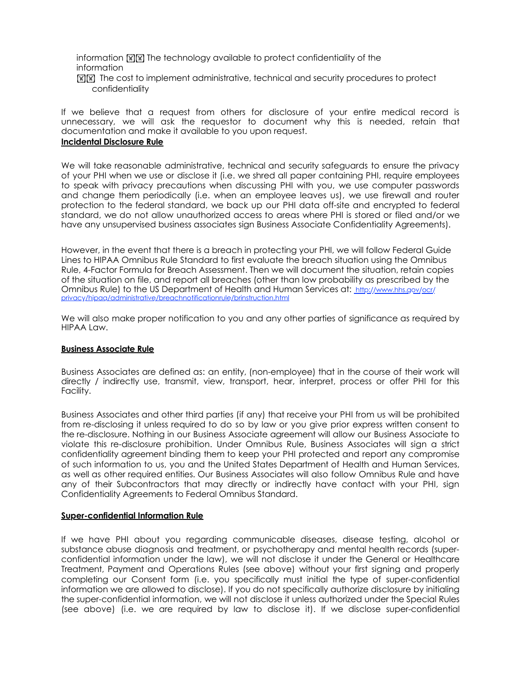information  $\mathbb{R} \times \mathbb{R}$  The technology available to protect confidentiality of the information

**MM** The cost to implement administrative, technical and security procedures to protect confidentiality

If we believe that a request from others for disclosure of your entire medical record is unnecessary, we will ask the requestor to document why this is needed, retain that documentation and make it available to you upon request.

# **Incidental Disclosure Rule**

We will take reasonable administrative, technical and security safeguards to ensure the privacy of your PHI when we use or disclose it (i.e. we shred all paper containing PHI, require employees to speak with privacy precautions when discussing PHI with you, we use computer passwords and change them periodically (i.e. when an employee leaves us), we use firewall and router protection to the federal standard, we back up our PHI data off-site and encrypted to federal standard, we do not allow unauthorized access to areas where PHI is stored or filed and/or we have any unsupervised business associates sign Business Associate Confidentiality Agreements).

However, in the event that there is a breach in protecting your PHI, we will follow Federal Guide Lines to HIPAA Omnibus Rule Standard to first evaluate the breach situation using the Omnibus Rule, 4-Factor Formula for Breach Assessment. Then we will document the situation, retain copies of the situation on file, and report all breaches (other than low probability as prescribed by the Omnibus Rule) to the US Department of Health and Human Services at: [http://www.hhs.gov/ocr/](http://www.hhs.gov/ocr/privacy/hipaa/administrative/breachnotificationrule/brinstruction.html) [privacy/hipaa/administrative/breachnotificationrule/brinstruction.html](http://www.hhs.gov/ocr/privacy/hipaa/administrative/breachnotificationrule/brinstruction.html)

We will also make proper notification to you and any other parties of significance as required by HIPAA Law.

## **Business Associate Rule**

Business Associates are defined as: an entity, (non-employee) that in the course of their work will directly / indirectly use, transmit, view, transport, hear, interpret, process or offer PHI for this Facility.

Business Associates and other third parties (if any) that receive your PHI from us will be prohibited from re-disclosing it unless required to do so by law or you give prior express written consent to the re-disclosure. Nothing in our Business Associate agreement will allow our Business Associate to violate this re-disclosure prohibition. Under Omnibus Rule, Business Associates will sign a strict confidentiality agreement binding them to keep your PHI protected and report any compromise of such information to us, you and the United States Department of Health and Human Services, as well as other required entities. Our Business Associates will also follow Omnibus Rule and have any of their Subcontractors that may directly or indirectly have contact with your PHI, sign Confidentiality Agreements to Federal Omnibus Standard.

## **Super-confidential Information Rule**

If we have PHI about you regarding communicable diseases, disease testing, alcohol or substance abuse diagnosis and treatment, or psychotherapy and mental health records (superconfidential information under the law), we will not disclose it under the General or Healthcare Treatment, Payment and Operations Rules (see above) without your first signing and properly completing our Consent form (i.e. you specifically must initial the type of super-confidential information we are allowed to disclose). If you do not specifically authorize disclosure by initialing the super-confidential information, we will not disclose it unless authorized under the Special Rules (see above) (i.e. we are required by law to disclose it). If we disclose super-confidential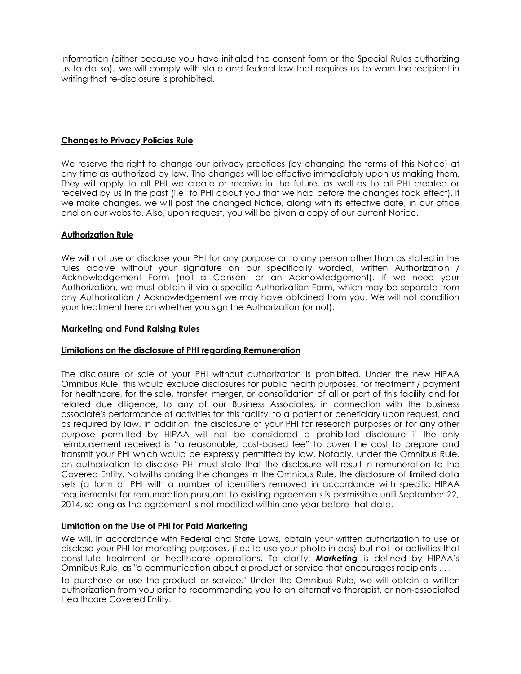information (either because you have initialed the consent form or the Special Rules authorizing us to do so), we will comply with state and federal law that requires us to warn the recipient in writing that re-disclosure is prohibited.

# **Changes to Privacy Policies Rule**

We reserve the right to change our privacy practices (by changing the terms of this Notice) at any time as authorized by law. The changes will be effective immediately upon us making them. They will apply to all PHI we create or receive in the future, as well as to all PHI created or received by us in the past (i.e. to PHI about you that we had before the changes took effect). If we make changes, we will post the changed Notice, along with its effective date, in our office and on our website. Also, upon request, you will be given a copy of our current Notice.

# **Authorization Rule**

We will not use or disclose your PHI for any purpose or to any person other than as stated in the rules above without your signature on our specifically worded, written Authorization / Acknowledgement Form (not a Consent or an Acknowledgement). If we need your Authorization, we must obtain it via a specific Authorization Form, which may be separate from any Authorization / Acknowledgement we may have obtained from you. We will not condition your treatment here on whether you sign the Authorization (or not).

## **Marketing and Fund Raising Rules**

## **Limitations on the disclosure of PHI regarding Remuneration**

The disclosure or sale of your PHI without authorization is prohibited. Under the new HIPAA Omnibus Rule, this would exclude disclosures for public health purposes, for treatment / payment for healthcare, for the sale, transfer, merger, or consolidation of all or part of this facility and for related due diligence, to any of our Business Associates, in connection with the business associate's performance of activities for this facility, to a patient or beneficiary upon request, and as required by law. In addition, the disclosure of your PHI for research purposes or for any other purpose permitted by HIPAA will not be considered a prohibited disclosure if the only reimbursement received is "a reasonable, cost-based fee" to cover the cost to prepare and transmit your PHI which would be expressly permitted by law. Notably, under the Omnibus Rule, an authorization to disclose PHI must state that the disclosure will result in remuneration to the Covered Entity. Notwithstanding the changes in the Omnibus Rule, the disclosure of limited data sets (a form of PHI with a number of identifiers removed in accordance with specific HIPAA requirements) for remuneration pursuant to existing agreements is permissible until September 22, 2014, so long as the agreement is not modified within one year before that date.

## **Limitation on the Use of PHI for Paid Marketing**

We will, in accordance with Federal and State Laws, obtain your written authorization to use or disclose your PHI for marketing purposes, (i.e.: to use your photo in ads) but not for activities that constitute treatment or healthcare operations. To clarify, *Marketing* is defined by HIPAA's Omnibus Rule, as "a communication about a product or service that encourages recipients . . .

to purchase or use the product or service." Under the Omnibus Rule, we will obtain a written authorization from you prior to recommending you to an alternative therapist, or non-associated Healthcare Covered Entity.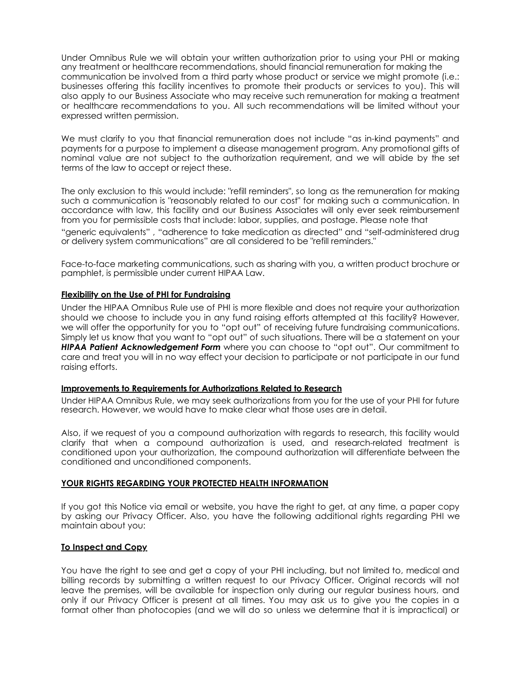Under Omnibus Rule we will obtain your written authorization prior to using your PHI or making any treatment or healthcare recommendations, should financial remuneration for making the communication be involved from a third party whose product or service we might promote (i.e.: businesses offering this facility incentives to promote their products or services to you). This will also apply to our Business Associate who may receive such remuneration for making a treatment or healthcare recommendations to you. All such recommendations will be limited without your expressed written permission.

We must clarify to you that financial remuneration does not include "as in-kind payments" and payments for a purpose to implement a disease management program. Any promotional gifts of nominal value are not subject to the authorization requirement, and we will abide by the set terms of the law to accept or reject these.

The only exclusion to this would include: "refill reminders", so long as the remuneration for making such a communication is "reasonably related to our cost" for making such a communication. In accordance with law, this facility and our Business Associates will only ever seek reimbursement from you for permissible costs that include: labor, supplies, and postage. Please note that

"generic equivalents" , "adherence to take medication as directed" and "self-administered drug or delivery system communications" are all considered to be "refill reminders."

Face-to-face marketing communications, such as sharing with you, a written product brochure or pamphlet, is permissible under current HIPAA Law.

# **Flexibility on the Use of PHI for Fundraising**

Under the HIPAA Omnibus Rule use of PHI is more flexible and does not require your authorization should we choose to include you in any fund raising efforts attempted at this facility? However, we will offer the opportunity for you to "opt out" of receiving future fundraising communications. Simply let us know that you want to "opt out" of such situations. There will be a statement on your *HIPAA Patient Acknowledgement Form* where you can choose to "opt out". Our commitment to care and treat you will in no way effect your decision to participate or not participate in our fund raising efforts.

## **Improvements to Requirements for Authorizations Related to Research**

Under HIPAA Omnibus Rule, we may seek authorizations from you for the use of your PHI for future research. However, we would have to make clear what those uses are in detail.

Also, if we request of you a compound authorization with regards to research, this facility would clarify that when a compound authorization is used, and research-related treatment is conditioned upon your authorization, the compound authorization will differentiate between the conditioned and unconditioned components.

## **YOUR RIGHTS REGARDING YOUR PROTECTED HEALTH INFORMATION**

If you got this Notice via email or website, you have the right to get, at any time, a paper copy by asking our Privacy Officer. Also, you have the following additional rights regarding PHI we maintain about you:

## **To Inspect and Copy**

You have the right to see and get a copy of your PHI including, but not limited to, medical and billing records by submitting a written request to our Privacy Officer. Original records will not leave the premises, will be available for inspection only during our regular business hours, and only if our Privacy Officer is present at all times. You may ask us to give you the copies in a format other than photocopies (and we will do so unless we determine that it is impractical) or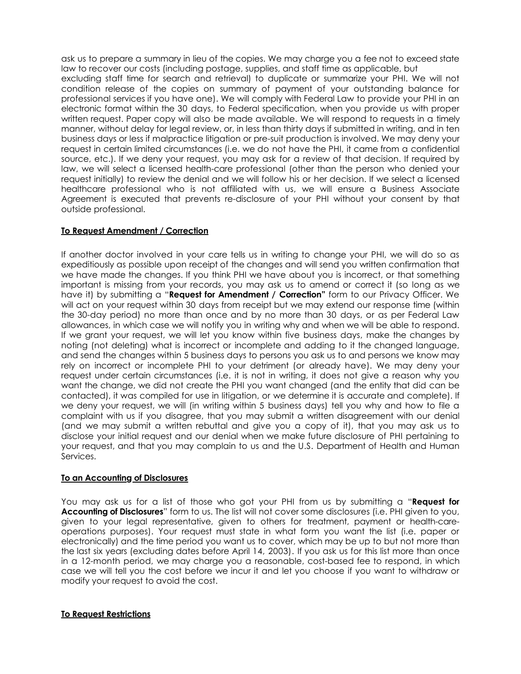ask us to prepare a summary in lieu of the copies. We may charge you a fee not to exceed state law to recover our costs (including postage, supplies, and staff time as applicable, but excluding staff time for search and retrieval) to duplicate or summarize your PHI. We will not condition release of the copies on summary of payment of your outstanding balance for professional services if you have one). We will comply with Federal Law to provide your PHI in an electronic format within the 30 days, to Federal specification, when you provide us with proper written request. Paper copy will also be made available. We will respond to requests in a timely manner, without delay for legal review, or, in less than thirty days if submitted in writing, and in ten business days or less if malpractice litigation or pre-suit production is involved. We may deny your request in certain limited circumstances (i.e. we do not have the PHI, it came from a confidential source, etc.). If we deny your request, you may ask for a review of that decision. If required by law, we will select a licensed health-care professional (other than the person who denied your request initially) to review the denial and we will follow his or her decision. If we select a licensed healthcare professional who is not affiliated with us, we will ensure a Business Associate Agreement is executed that prevents re-disclosure of your PHI without your consent by that outside professional.

# **To Request Amendment / Correction**

If another doctor involved in your care tells us in writing to change your PHI, we will do so as expeditiously as possible upon receipt of the changes and will send you written confirmation that we have made the changes. If you think PHI we have about you is incorrect, or that something important is missing from your records, you may ask us to amend or correct it (so long as we have it) by submitting a "**Request for Amendment / Correction"** form to our Privacy Officer. We will act on your request within 30 days from receipt but we may extend our response time (within the 30-day period) no more than once and by no more than 30 days, or as per Federal Law allowances, in which case we will notify you in writing why and when we will be able to respond. If we grant your request, we will let you know within five business days, make the changes by noting (not deleting) what is incorrect or incomplete and adding to it the changed language, and send the changes within 5 business days to persons you ask us to and persons we know may rely on incorrect or incomplete PHI to your detriment (or already have). We may deny your request under certain circumstances (i.e. it is not in writing, it does not give a reason why you want the change, we did not create the PHI you want changed (and the entity that did can be contacted), it was compiled for use in litigation, or we determine it is accurate and complete). If we deny your request, we will (in writing within 5 business days) tell you why and how to file a complaint with us if you disagree, that you may submit a written disagreement with our denial (and we may submit a written rebuttal and give you a copy of it), that you may ask us to disclose your initial request and our denial when we make future disclosure of PHI pertaining to your request, and that you may complain to us and the U.S. Department of Health and Human Services.

# **To an Accounting of Disclosures**

You may ask us for a list of those who got your PHI from us by submitting a "**Request for Accounting of Disclosures**" form to us. The list will not cover some disclosures (i.e. PHI given to you, given to your legal representative, given to others for treatment, payment or health-careoperations purposes). Your request must state in what form you want the list (i.e. paper or electronically) and the time period you want us to cover, which may be up to but not more than the last six years (excluding dates before April 14, 2003). If you ask us for this list more than once in a 12-month period, we may charge you a reasonable, cost-based fee to respond, in which case we will tell you the cost before we incur it and let you choose if you want to withdraw or modify your request to avoid the cost.

# **To Request Restrictions**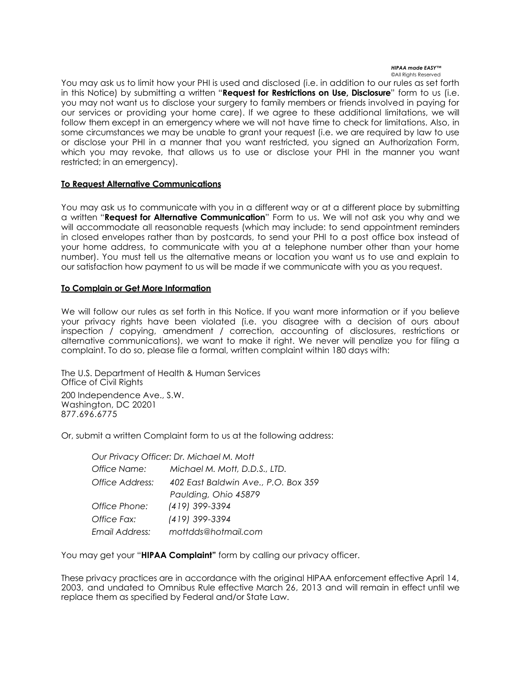You may ask us to limit how your PHI is used and disclosed (i.e. in addition to our rules as set forth in this Notice) by submitting a written "**Request for Restrictions on Use, Disclosure**" form to us (i.e. you may not want us to disclose your surgery to family members or friends involved in paying for our services or providing your home care). If we agree to these additional limitations, we will follow them except in an emergency where we will not have time to check for limitations. Also, in some circumstances we may be unable to grant your request (i.e. we are required by law to use or disclose your PHI in a manner that you want restricted, you signed an Authorization Form, which you may revoke, that allows us to use or disclose your PHI in the manner you want restricted; in an emergency).

# **To Request Alternative Communications**

You may ask us to communicate with you in a different way or at a different place by submitting a written "**Request for Alternative Communication**" Form to us. We will not ask you why and we will accommodate all reasonable requests (which may include: to send appointment reminders in closed envelopes rather than by postcards, to send your PHI to a post office box instead of your home address, to communicate with you at a telephone number other than your home number). You must tell us the alternative means or location you want us to use and explain to our satisfaction how payment to us will be made if we communicate with you as you request.

# **To Complain or Get More Information**

We will follow our rules as set forth in this Notice. If you want more information or if you believe your privacy rights have been violated (i.e. you disagree with a decision of ours about inspection / copying, amendment / correction, accounting of disclosures, restrictions or alternative communications), we want to make it right. We never will penalize you for filing a complaint. To do so, please file a formal, written complaint within 180 days with:

The U.S. Department of Health & Human Services Office of Civil Rights 200 Independence Ave., S.W. Washington, DC 20201 877.696.6775

Or, submit a written Complaint form to us at the following address:

| Our Privacy Officer: Dr. Michael M. Mott |                                     |
|------------------------------------------|-------------------------------------|
| Office Name:                             | Michael M. Mott, D.D.S., LTD.       |
| Office Address:                          | 402 East Baldwin Ave., P.O. Box 359 |
|                                          | Paulding, Ohio 45879                |
| Office Phone:                            | (419) 399-3394                      |
| Office Fax:                              | (419) 399-3394                      |
| Email Address:                           | mottdds@hotmail.com                 |

You may get your "**HIPAA Complaint"** form by calling our privacy officer.

These privacy practices are in accordance with the original HIPAA enforcement effective April 14, 2003, and undated to Omnibus Rule effective March 26, 2013 and will remain in effect until we replace them as specified by Federal and/or State Law.